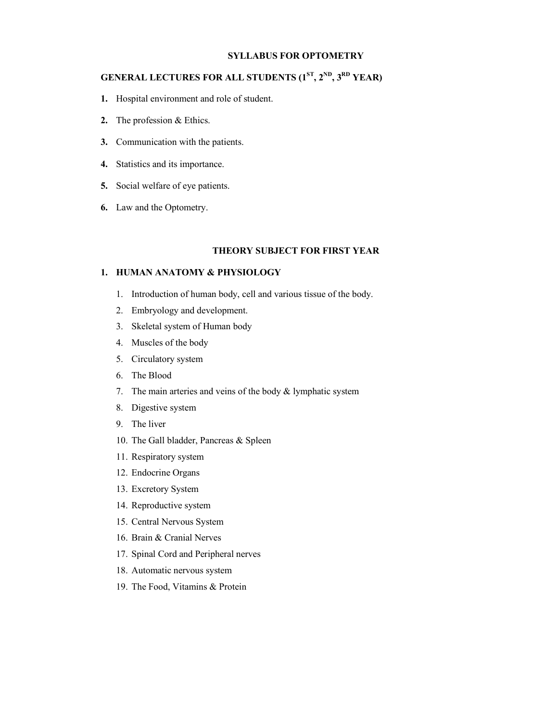### **SYLLABUS FOR OPTOMETRY**

## **GENERAL LECTURES FOR ALL STUDENTS (1ST, 2ND, 3RD YEAR)**

- **1.** Hospital environment and role of student.
- **2.** The profession & Ethics.
- **3.** Communication with the patients.
- **4.** Statistics and its importance.
- **5.** Social welfare of eye patients.
- **6.** Law and the Optometry.

### **THEORY SUBJECT FOR FIRST YEAR**

### **1. HUMAN ANATOMY & PHYSIOLOGY**

- 1. Introduction of human body, cell and various tissue of the body.
- 2. Embryology and development.
- 3. Skeletal system of Human body
- 4. Muscles of the body
- 5. Circulatory system
- 6. The Blood
- 7. The main arteries and veins of the body  $&$  lymphatic system
- 8. Digestive system
- 9. The liver
- 10. The Gall bladder, Pancreas & Spleen
- 11. Respiratory system
- 12. Endocrine Organs
- 13. Excretory System
- 14. Reproductive system
- 15. Central Nervous System
- 16. Brain & Cranial Nerves
- 17. Spinal Cord and Peripheral nerves
- 18. Automatic nervous system
- 19. The Food, Vitamins & Protein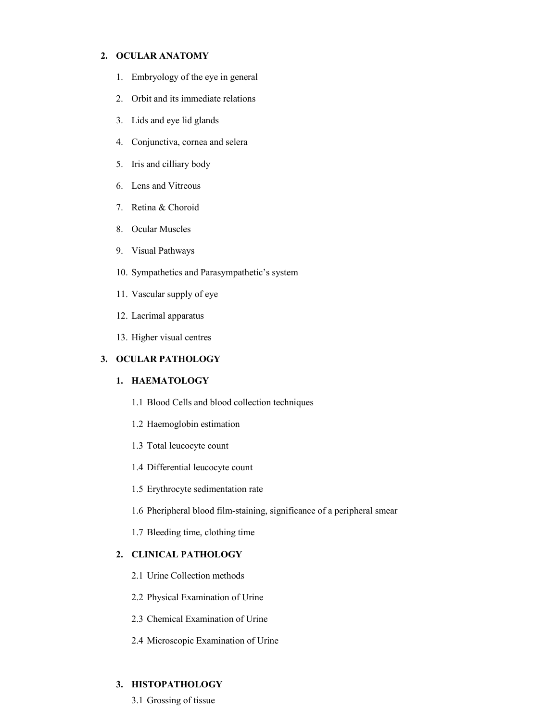#### **2. OCULAR ANATOMY**

- 1. Embryology of the eye in general
- 2. Orbit and its immediate relations
- 3. Lids and eye lid glands
- 4. Conjunctiva, cornea and selera
- 5. Iris and cilliary body
- 6. Lens and Vitreous
- 7. Retina & Choroid
- 8. Ocular Muscles
- 9. Visual Pathways
- 10. Sympathetics and Parasympathetic's system
- 11. Vascular supply of eye
- 12. Lacrimal apparatus
- 13. Higher visual centres

#### **3. OCULAR PATHOLOGY**

## **1. HAEMATOLOGY**

- 1.1 Blood Cells and blood collection techniques
- 1.2 Haemoglobin estimation
- 1.3 Total leucocyte count
- 1.4 Differential leucocyte count
- 1.5 Erythrocyte sedimentation rate
- 1.6 Pheripheral blood film-staining, significance of a peripheral smear
- 1.7 Bleeding time, clothing time

#### **2. CLINICAL PATHOLOGY**

- 2.1 Urine Collection methods
- 2.2 Physical Examination of Urine
- 2.3 Chemical Examination of Urine
- 2.4 Microscopic Examination of Urine

## **3. HISTOPATHOLOGY**

3.1 Grossing of tissue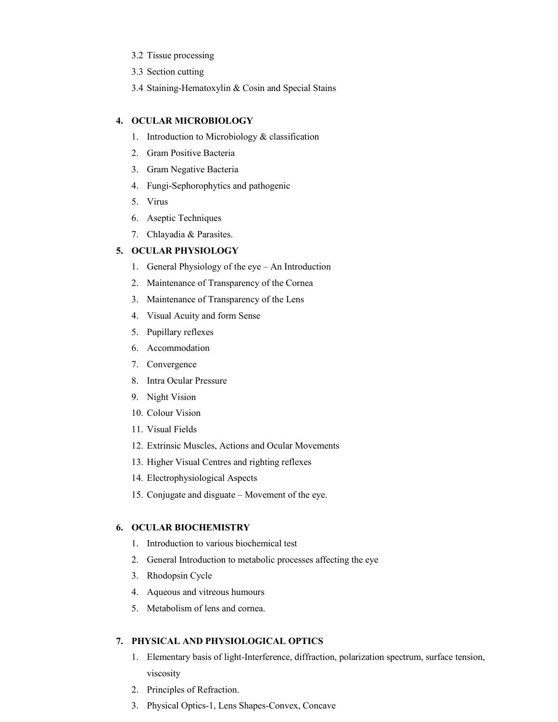- 3.2 Tissue processing
- 3.3 Section cutting
- 3.4 Staining-Hematoxylin & Cosin and Special Stains

## **4. OCULAR MICROBIOLOGY**

- 1. Introduction to Microbiology & classification
- 2. Gram Positive Bacteria
- 3. Gram Negative Bacteria
- 4. Fungi-Sephorophytics and pathogenic
- 5. Virus
- 6. Aseptic Techniques
- 7. Chlayadia & Parasites.

## **5. OCULAR PHYSIOLOGY**

- 1. General Physiology of the eye An Introduction
- 2. Maintenance of Transparency of the Cornea
- 3. Maintenance of Transparency of the Lens
- 4. Visual Acuity and form Sense
- 5. Pupillary reflexes
- 6. Accommodation
- 7. Convergence
- 8. Intra Ocular Pressure
- 9. Night Vision
- 10. Colour Vision
- 11. Visual Fields
- 12. Extrinsic Muscles, Actions and Ocular Movements
- 13. Higher Visual Centres and righting reflexes
- 14. Electrophysiological Aspects
- 15. Conjugate and disguate Movement of the eye.

## **6. OCULAR BIOCHEMISTRY**

- 1. Introduction to various biochemical test
- 2. General Introduction to metabolic processes affecting the eye
- 3. Rhodopsin Cycle
- 4. Aqueous and vitreous humours
- 5. Metabolism of lens and cornea.

## **7. PHYSICAL AND PHYSIOLOGICAL OPTICS**

- 1. Elementary basis of light-Interference, diffraction, polarization spectrum, surface tension, viscosity
- 2. Principles of Refraction.
- 3. Physical Optics-1, Lens Shapes-Convex, Concave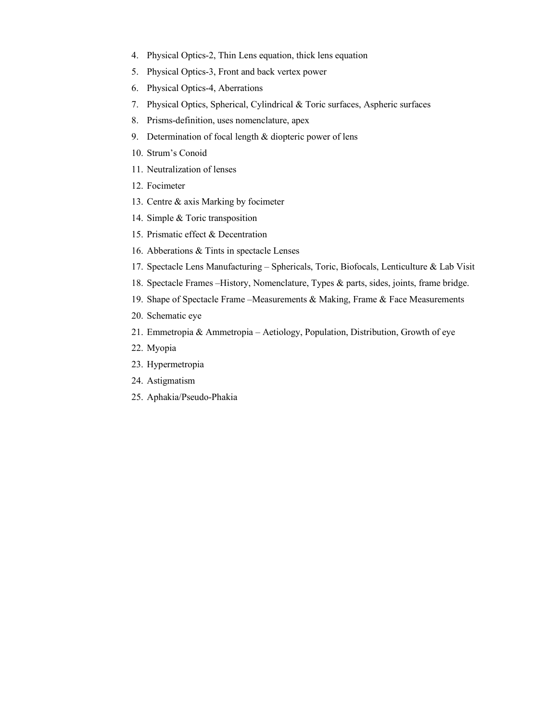- 4. Physical Optics-2, Thin Lens equation, thick lens equation
- 5. Physical Optics-3, Front and back vertex power
- 6. Physical Optics-4, Aberrations
- 7. Physical Optics, Spherical, Cylindrical & Toric surfaces, Aspheric surfaces
- 8. Prisms-definition, uses nomenclature, apex
- 9. Determination of focal length & diopteric power of lens
- 10. Strum's Conoid
- 11. Neutralization of lenses
- 12. Focimeter
- 13. Centre & axis Marking by focimeter
- 14. Simple & Toric transposition
- 15. Prismatic effect & Decentration
- 16. Abberations & Tints in spectacle Lenses
- 17. Spectacle Lens Manufacturing Sphericals, Toric, Biofocals, Lenticulture & Lab Visit
- 18. Spectacle Frames –History, Nomenclature, Types & parts, sides, joints, frame bridge.
- 19. Shape of Spectacle Frame –Measurements & Making, Frame & Face Measurements
- 20. Schematic eye
- 21. Emmetropia & Ammetropia Aetiology, Population, Distribution, Growth of eye
- 22. Myopia
- 23. Hypermetropia
- 24. Astigmatism
- 25. Aphakia/Pseudo-Phakia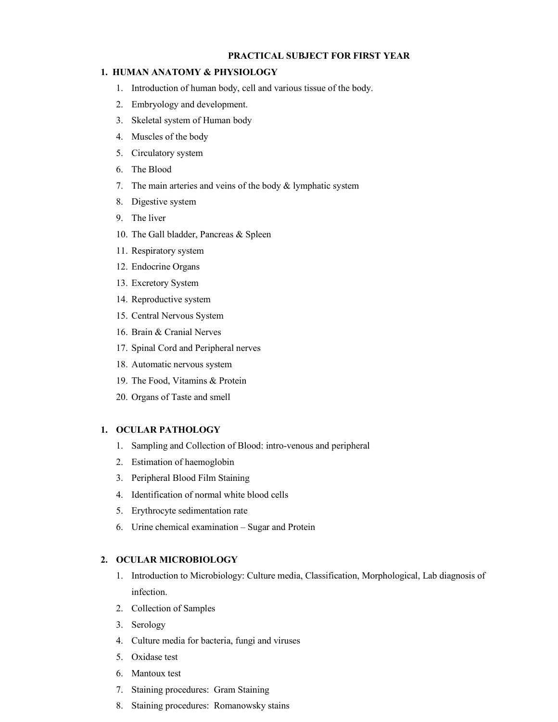#### **PRACTICAL SUBJECT FOR FIRST YEAR**

#### **1. HUMAN ANATOMY & PHYSIOLOGY**

- 1. Introduction of human body, cell and various tissue of the body.
- 2. Embryology and development.
- 3. Skeletal system of Human body
- 4. Muscles of the body
- 5. Circulatory system
- 6. The Blood
- 7. The main arteries and veins of the body & lymphatic system
- 8. Digestive system
- 9. The liver
- 10. The Gall bladder, Pancreas & Spleen
- 11. Respiratory system
- 12. Endocrine Organs
- 13. Excretory System
- 14. Reproductive system
- 15. Central Nervous System
- 16. Brain & Cranial Nerves
- 17. Spinal Cord and Peripheral nerves
- 18. Automatic nervous system
- 19. The Food, Vitamins & Protein
- 20. Organs of Taste and smell

#### **1. OCULAR PATHOLOGY**

- 1. Sampling and Collection of Blood: intro-venous and peripheral
- 2. Estimation of haemoglobin
- 3. Peripheral Blood Film Staining
- 4. Identification of normal white blood cells
- 5. Erythrocyte sedimentation rate
- 6. Urine chemical examination Sugar and Protein

#### **2. OCULAR MICROBIOLOGY**

- 1. Introduction to Microbiology: Culture media, Classification, Morphological, Lab diagnosis of infection.
- 2. Collection of Samples
- 3. Serology
- 4. Culture media for bacteria, fungi and viruses
- 5. Oxidase test
- 6. Mantoux test
- 7. Staining procedures: Gram Staining
- 8. Staining procedures: Romanowsky stains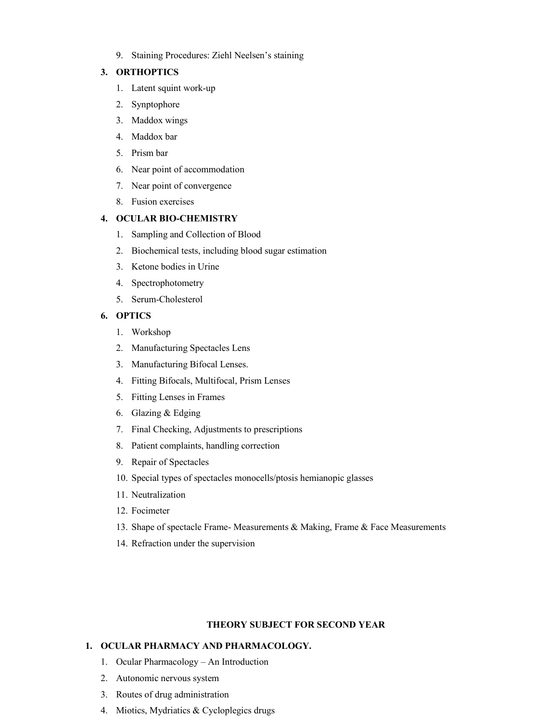9. Staining Procedures: Ziehl Neelsen's staining

### **3. ORTHOPTICS**

- 1. Latent squint work-up
- 2. Synptophore
- 3. Maddox wings
- 4. Maddox bar
- 5. Prism bar
- 6. Near point of accommodation
- 7. Near point of convergence
- 8. Fusion exercises

## **4. OCULAR BIO-CHEMISTRY**

- 1. Sampling and Collection of Blood
- 2. Biochemical tests, including blood sugar estimation
- 3. Ketone bodies in Urine
- 4. Spectrophotometry
- 5. Serum-Cholesterol

## **6. OPTICS**

- 1. Workshop
- 2. Manufacturing Spectacles Lens
- 3. Manufacturing Bifocal Lenses.
- 4. Fitting Bifocals, Multifocal, Prism Lenses
- 5. Fitting Lenses in Frames
- 6. Glazing & Edging
- 7. Final Checking, Adjustments to prescriptions
- 8. Patient complaints, handling correction
- 9. Repair of Spectacles
- 10. Special types of spectacles monocells/ptosis hemianopic glasses
- 11. Neutralization
- 12. Focimeter
- 13. Shape of spectacle Frame- Measurements & Making, Frame & Face Measurements
- 14. Refraction under the supervision

#### **THEORY SUBJECT FOR SECOND YEAR**

#### **1. OCULAR PHARMACY AND PHARMACOLOGY.**

- 1. Ocular Pharmacology An Introduction
- 2. Autonomic nervous system
- 3. Routes of drug administration
- 4. Miotics, Mydriatics & Cycloplegics drugs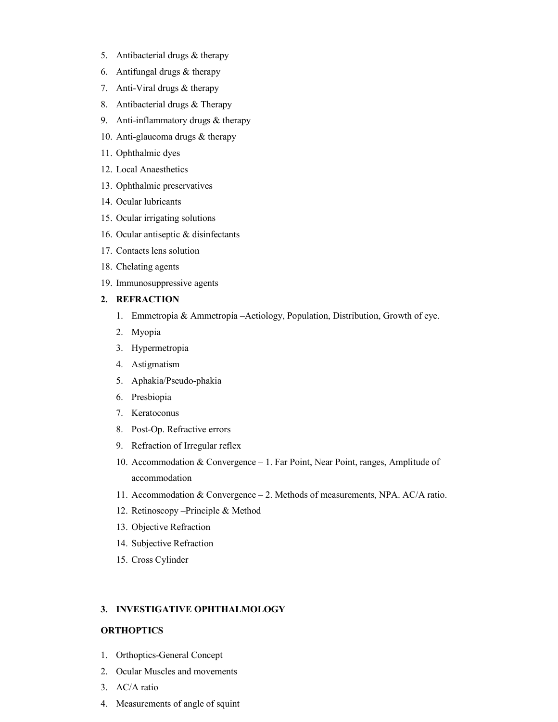- 5. Antibacterial drugs & therapy
- 6. Antifungal drugs & therapy
- 7. Anti-Viral drugs & therapy
- 8. Antibacterial drugs & Therapy
- 9. Anti-inflammatory drugs & therapy
- 10. Anti-glaucoma drugs & therapy
- 11. Ophthalmic dyes
- 12. Local Anaesthetics
- 13. Ophthalmic preservatives
- 14. Ocular lubricants
- 15. Ocular irrigating solutions
- 16. Ocular antiseptic & disinfectants
- 17. Contacts lens solution
- 18. Chelating agents
- 19. Immunosuppressive agents

#### **2. REFRACTION**

- 1. Emmetropia & Ammetropia –Aetiology, Population, Distribution, Growth of eye.
- 2. Myopia
- 3. Hypermetropia
- 4. Astigmatism
- 5. Aphakia/Pseudo-phakia
- 6. Presbiopia
- 7. Keratoconus
- 8. Post-Op. Refractive errors
- 9. Refraction of Irregular reflex
- 10. Accommodation & Convergence 1. Far Point, Near Point, ranges, Amplitude of accommodation
- 11. Accommodation & Convergence 2. Methods of measurements, NPA. AC/A ratio.
- 12. Retinoscopy –Principle & Method
- 13. Objective Refraction
- 14. Subjective Refraction
- 15. Cross Cylinder

#### **3. INVESTIGATIVE OPHTHALMOLOGY**

#### **ORTHOPTICS**

- 1. Orthoptics-General Concept
- 2. Ocular Muscles and movements
- 3. AC/A ratio
- 4. Measurements of angle of squint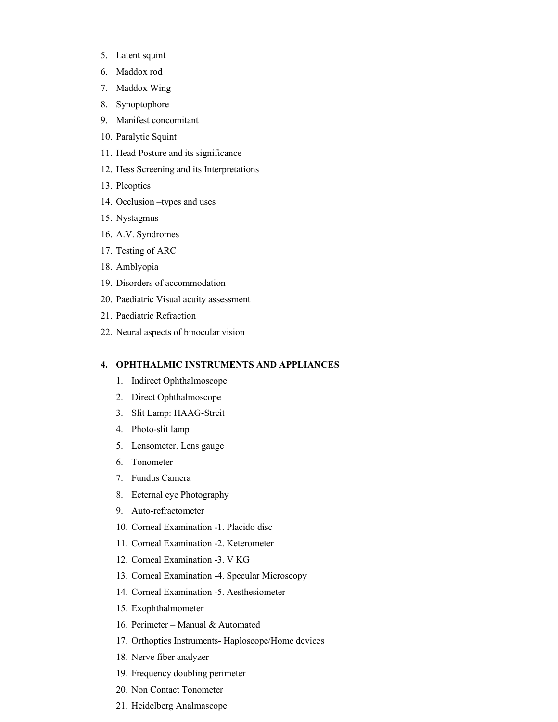- 5. Latent squint
- 6. Maddox rod
- 7. Maddox Wing
- 8. Synoptophore
- 9. Manifest concomitant
- 10. Paralytic Squint
- 11. Head Posture and its significance
- 12. Hess Screening and its Interpretations
- 13. Pleoptics
- 14. Occlusion –types and uses
- 15. Nystagmus
- 16. A.V. Syndromes
- 17. Testing of ARC
- 18. Amblyopia
- 19. Disorders of accommodation
- 20. Paediatric Visual acuity assessment
- 21. Paediatric Refraction
- 22. Neural aspects of binocular vision

#### **4. OPHTHALMIC INSTRUMENTS AND APPLIANCES**

- 1. Indirect Ophthalmoscope
- 2. Direct Ophthalmoscope
- 3. Slit Lamp: HAAG-Streit
- 4. Photo-slit lamp
- 5. Lensometer. Lens gauge
- 6. Tonometer
- 7. Fundus Camera
- 8. Ecternal eye Photography
- 9. Auto-refractometer
- 10. Corneal Examination -1. Placido disc
- 11. Corneal Examination -2. Keterometer
- 12. Corneal Examination -3. V KG
- 13. Corneal Examination -4. Specular Microscopy
- 14. Corneal Examination -5. Aesthesiometer
- 15. Exophthalmometer
- 16. Perimeter Manual & Automated
- 17. Orthoptics Instruments- Haploscope/Home devices
- 18. Nerve fiber analyzer
- 19. Frequency doubling perimeter
- 20. Non Contact Tonometer
- 21. Heidelberg Analmascope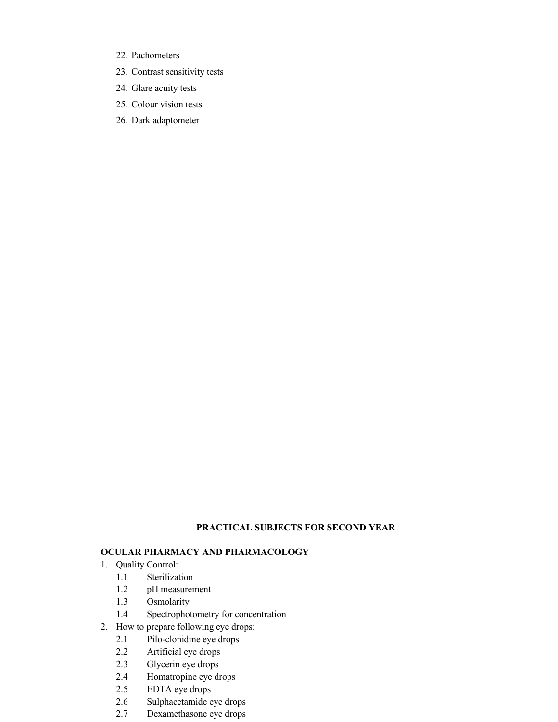- 22. Pachometers
- 23. Contrast sensitivity tests
- 24. Glare acuity tests
- 25. Colour vision tests
- 26. Dark adaptometer

## **PRACTICAL SUBJECTS FOR SECOND YEAR**

## **OCULAR PHARMACY AND PHARMACOLOGY**

- 1. Quality Control:
	- 1.1 Sterilization
	- 1.2 pH measurement
	- 1.3 Osmolarity
	- 1.4 Spectrophotometry for concentration
- 2. How to prepare following eye drops:
	- 2.1 Pilo-clonidine eye drops
	- 2.2 Artificial eye drops
	- 2.3 Glycerin eye drops
	- 2.4 Homatropine eye drops
	- 2.5 EDTA eye drops
	- 2.6 Sulphacetamide eye drops
	- 2.7 Dexamethasone eye drops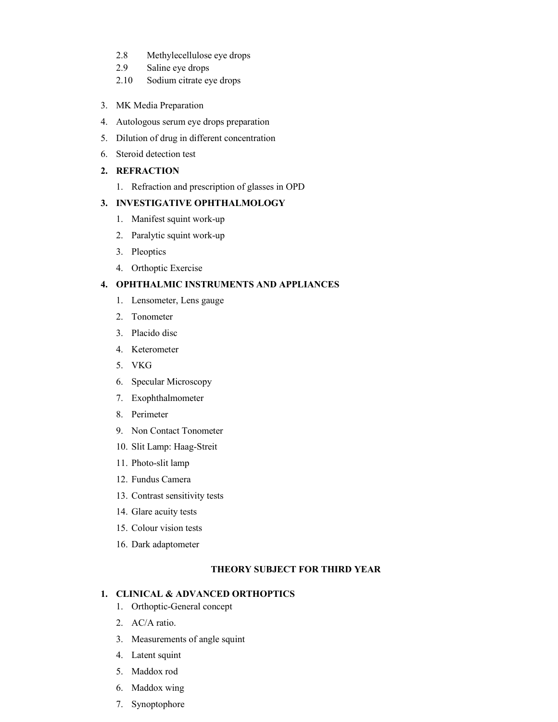- 2.8 Methylecellulose eye drops
- 2.9 Saline eye drops
- 2.10 Sodium citrate eye drops
- 3. MK Media Preparation
- 4. Autologous serum eye drops preparation
- 5. Dilution of drug in different concentration
- 6. Steroid detection test

## **2. REFRACTION**

1. Refraction and prescription of glasses in OPD

## **3. INVESTIGATIVE OPHTHALMOLOGY**

- 1. Manifest squint work-up
- 2. Paralytic squint work-up
- 3. Pleoptics
- 4. Orthoptic Exercise

### **4. OPHTHALMIC INSTRUMENTS AND APPLIANCES**

- 1. Lensometer, Lens gauge
- 2. Tonometer
- 3. Placido disc
- 4. Keterometer
- 5. VKG
- 6. Specular Microscopy
- 7. Exophthalmometer
- 8. Perimeter
- 9. Non Contact Tonometer
- 10. Slit Lamp: Haag-Streit
- 11. Photo-slit lamp
- 12. Fundus Camera
- 13. Contrast sensitivity tests
- 14. Glare acuity tests
- 15. Colour vision tests
- 16. Dark adaptometer

## **THEORY SUBJECT FOR THIRD YEAR**

## **1. CLINICAL & ADVANCED ORTHOPTICS**

- 1. Orthoptic-General concept
- 2. AC/A ratio.
- 3. Measurements of angle squint
- 4. Latent squint
- 5. Maddox rod
- 6. Maddox wing
- 7. Synoptophore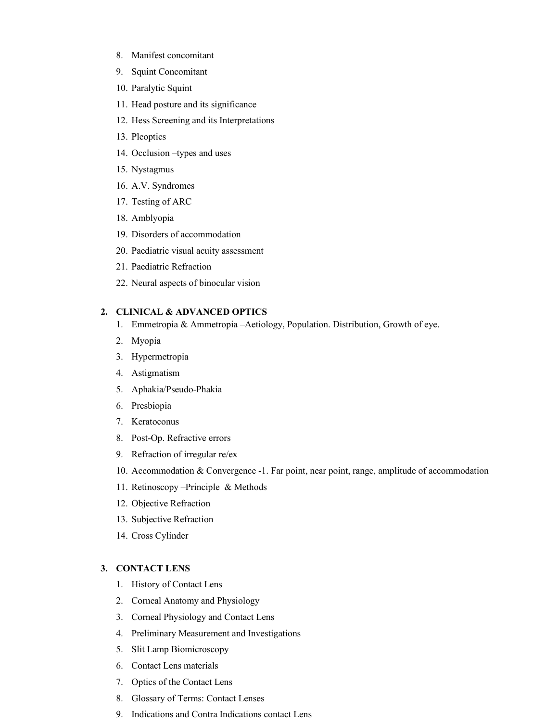- 8. Manifest concomitant
- 9. Squint Concomitant
- 10. Paralytic Squint
- 11. Head posture and its significance
- 12. Hess Screening and its Interpretations
- 13. Pleoptics
- 14. Occlusion –types and uses
- 15. Nystagmus
- 16. A.V. Syndromes
- 17. Testing of ARC
- 18. Amblyopia
- 19. Disorders of accommodation
- 20. Paediatric visual acuity assessment
- 21. Paediatric Refraction
- 22. Neural aspects of binocular vision

## **2. CLINICAL & ADVANCED OPTICS**

- 1. Emmetropia & Ammetropia –Aetiology, Population. Distribution, Growth of eye.
- 2. Myopia
- 3. Hypermetropia
- 4. Astigmatism
- 5. Aphakia/Pseudo-Phakia
- 6. Presbiopia
- 7. Keratoconus
- 8. Post-Op. Refractive errors
- 9. Refraction of irregular re/ex
- 10. Accommodation & Convergence -1. Far point, near point, range, amplitude of accommodation
- 11. Retinoscopy –Principle & Methods
- 12. Objective Refraction
- 13. Subjective Refraction
- 14. Cross Cylinder

#### **3. CONTACT LENS**

- 1. History of Contact Lens
- 2. Corneal Anatomy and Physiology
- 3. Corneal Physiology and Contact Lens
- 4. Preliminary Measurement and Investigations
- 5. Slit Lamp Biomicroscopy
- 6. Contact Lens materials
- 7. Optics of the Contact Lens
- 8. Glossary of Terms: Contact Lenses
- 9. Indications and Contra Indications contact Lens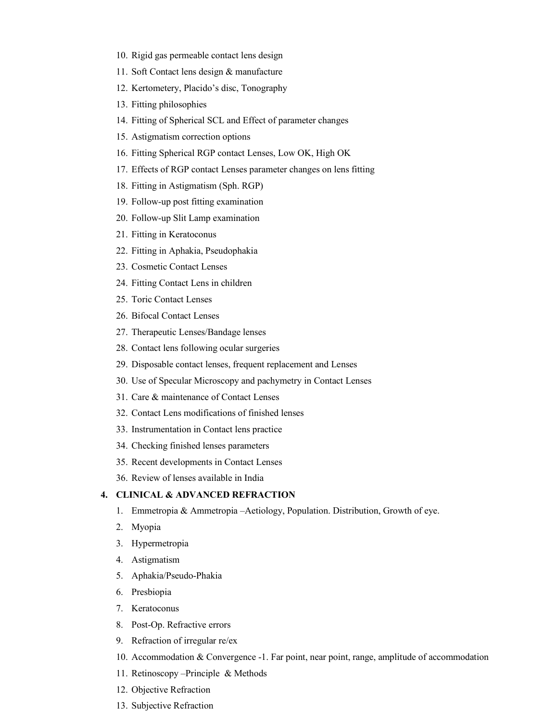- 10. Rigid gas permeable contact lens design
- 11. Soft Contact lens design & manufacture
- 12. Kertometery, Placido's disc, Tonography
- 13. Fitting philosophies
- 14. Fitting of Spherical SCL and Effect of parameter changes
- 15. Astigmatism correction options
- 16. Fitting Spherical RGP contact Lenses, Low OK, High OK
- 17. Effects of RGP contact Lenses parameter changes on lens fitting
- 18. Fitting in Astigmatism (Sph. RGP)
- 19. Follow-up post fitting examination
- 20. Follow-up Slit Lamp examination
- 21. Fitting in Keratoconus
- 22. Fitting in Aphakia, Pseudophakia
- 23. Cosmetic Contact Lenses
- 24. Fitting Contact Lens in children
- 25. Toric Contact Lenses
- 26. Bifocal Contact Lenses
- 27. Therapeutic Lenses/Bandage lenses
- 28. Contact lens following ocular surgeries
- 29. Disposable contact lenses, frequent replacement and Lenses
- 30. Use of Specular Microscopy and pachymetry in Contact Lenses
- 31. Care & maintenance of Contact Lenses
- 32. Contact Lens modifications of finished lenses
- 33. Instrumentation in Contact lens practice
- 34. Checking finished lenses parameters
- 35. Recent developments in Contact Lenses
- 36. Review of lenses available in India

## **4. CLINICAL & ADVANCED REFRACTION**

- 1. Emmetropia & Ammetropia –Aetiology, Population. Distribution, Growth of eye.
- 2. Myopia
- 3. Hypermetropia
- 4. Astigmatism
- 5. Aphakia/Pseudo-Phakia
- 6. Presbiopia
- 7. Keratoconus
- 8. Post-Op. Refractive errors
- 9. Refraction of irregular re/ex
- 10. Accommodation & Convergence -1. Far point, near point, range, amplitude of accommodation
- 11. Retinoscopy –Principle & Methods
- 12. Objective Refraction
- 13. Subjective Refraction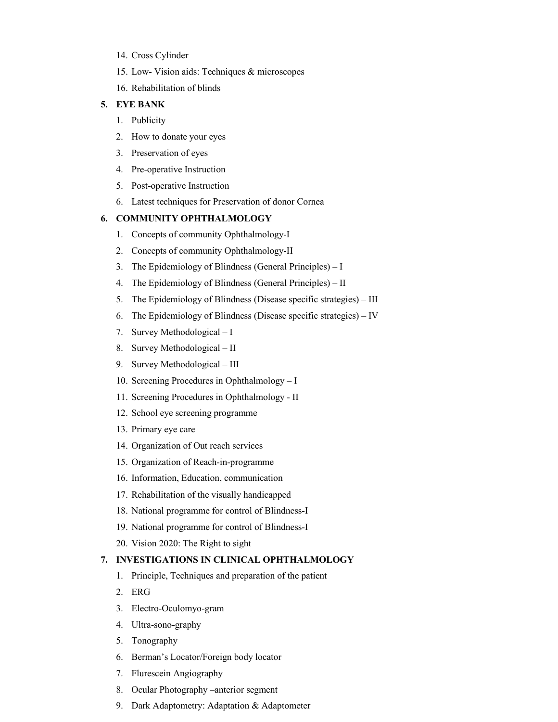- 14. Cross Cylinder
- 15. Low- Vision aids: Techniques & microscopes
- 16. Rehabilitation of blinds

#### **5. EYE BANK**

- 1. Publicity
- 2. How to donate your eyes
- 3. Preservation of eyes
- 4. Pre-operative Instruction
- 5. Post-operative Instruction
- 6. Latest techniques for Preservation of donor Cornea

#### **6. COMMUNITY OPHTHALMOLOGY**

- 1. Concepts of community Ophthalmology-I
- 2. Concepts of community Ophthalmology-II
- 3. The Epidemiology of Blindness (General Principles) I
- 4. The Epidemiology of Blindness (General Principles) II
- 5. The Epidemiology of Blindness (Disease specific strategies) III
- 6. The Epidemiology of Blindness (Disease specific strategies) IV
- 7. Survey Methodological I
- 8. Survey Methodological II
- 9. Survey Methodological III
- 10. Screening Procedures in Ophthalmology I
- 11. Screening Procedures in Ophthalmology II
- 12. School eye screening programme
- 13. Primary eye care
- 14. Organization of Out reach services
- 15. Organization of Reach-in-programme
- 16. Information, Education, communication
- 17. Rehabilitation of the visually handicapped
- 18. National programme for control of Blindness-I
- 19. National programme for control of Blindness-I
- 20. Vision 2020: The Right to sight

#### **7. INVESTIGATIONS IN CLINICAL OPHTHALMOLOGY**

- 1. Principle, Techniques and preparation of the patient
- 2. ERG
- 3. Electro-Oculomyo-gram
- 4. Ultra-sono-graphy
- 5. Tonography
- 6. Berman's Locator/Foreign body locator
- 7. Flurescein Angiography
- 8. Ocular Photography –anterior segment
- 9. Dark Adaptometry: Adaptation & Adaptometer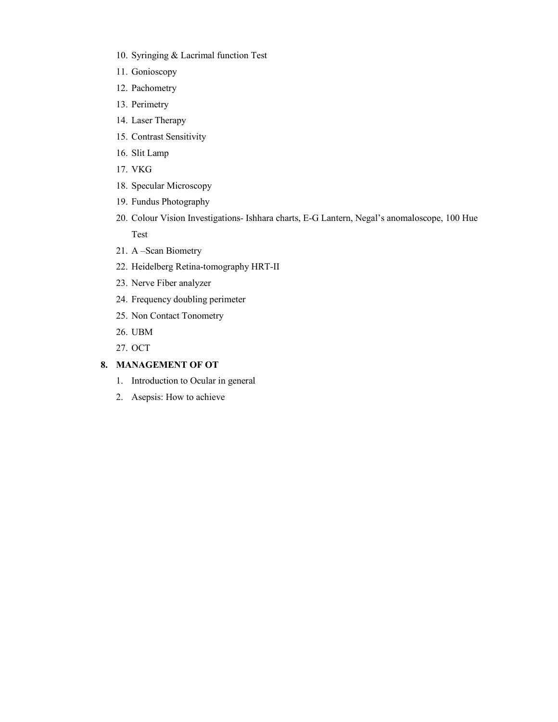- 10. Syringing & Lacrimal function Test
- 11. Gonioscopy
- 12. Pachometry
- 13. Perimetry
- 14. Laser Therapy
- 15. Contrast Sensitivity
- 16. Slit Lamp
- 17. VKG
- 18. Specular Microscopy
- 19. Fundus Photography
- 20. Colour Vision Investigations- Ishhara charts, E-G Lantern, Negal's anomaloscope, 100 Hue Test
- 21. A –Scan Biometry
- 22. Heidelberg Retina-tomography HRT-II
- 23. Nerve Fiber analyzer
- 24. Frequency doubling perimeter
- 25. Non Contact Tonometry
- 26. UBM
- 27. OCT

## **8. MANAGEMENT OF OT**

- 1. Introduction to Ocular in general
- 2. Asepsis: How to achieve